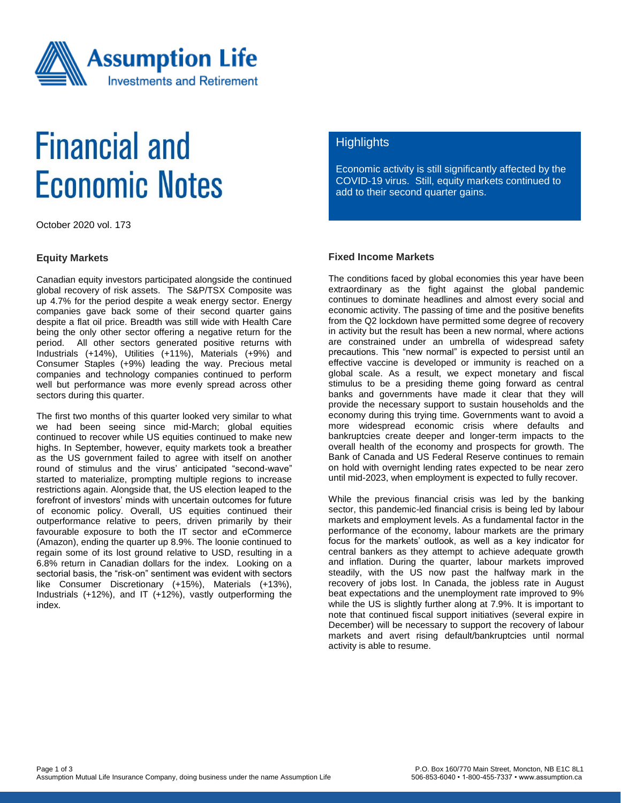

# **Financial and Economic Notes**

October 2020 vol. 173

### **Equity Markets**

Canadian equity investors participated alongside the continued global recovery of risk assets. The S&P/TSX Composite was up 4.7% for the period despite a weak energy sector. Energy companies gave back some of their second quarter gains despite a flat oil price. Breadth was still wide with Health Care being the only other sector offering a negative return for the period. All other sectors generated positive returns with Industrials (+14%), Utilities (+11%), Materials (+9%) and Consumer Staples (+9%) leading the way. Precious metal companies and technology companies continued to perform well but performance was more evenly spread across other sectors during this quarter.

The first two months of this quarter looked very similar to what we had been seeing since mid-March; global equities continued to recover while US equities continued to make new highs. In September, however, equity markets took a breather as the US government failed to agree with itself on another round of stimulus and the virus' anticipated "second-wave" started to materialize, prompting multiple regions to increase restrictions again. Alongside that, the US election leaped to the forefront of investors' minds with uncertain outcomes for future of economic policy. Overall, US equities continued their outperformance relative to peers, driven primarily by their favourable exposure to both the IT sector and eCommerce (Amazon), ending the quarter up 8.9%. The loonie continued to regain some of its lost ground relative to USD, resulting in a 6.8% return in Canadian dollars for the index. Looking on a sectorial basis, the "risk-on" sentiment was evident with sectors like Consumer Discretionary (+15%), Materials (+13%), Industrials (+12%), and IT (+12%), vastly outperforming the index.

# **Highlights**

Economic activity is still significantly affected by the COVID-19 virus. Still, equity markets continued to add to their second quarter gains.

### **Fixed Income Markets**

The conditions faced by global economies this year have been extraordinary as the fight against the global pandemic continues to dominate headlines and almost every social and economic activity. The passing of time and the positive benefits from the Q2 lockdown have permitted some degree of recovery in activity but the result has been a new normal, where actions are constrained under an umbrella of widespread safety precautions. This "new normal" is expected to persist until an effective vaccine is developed or immunity is reached on a global scale. As a result, we expect monetary and fiscal stimulus to be a presiding theme going forward as central banks and governments have made it clear that they will provide the necessary support to sustain households and the economy during this trying time. Governments want to avoid a more widespread economic crisis where defaults and bankruptcies create deeper and longer-term impacts to the overall health of the economy and prospects for growth. The Bank of Canada and US Federal Reserve continues to remain on hold with overnight lending rates expected to be near zero until mid-2023, when employment is expected to fully recover.

While the previous financial crisis was led by the banking sector, this pandemic-led financial crisis is being led by labour markets and employment levels. As a fundamental factor in the performance of the economy, labour markets are the primary focus for the markets' outlook, as well as a key indicator for central bankers as they attempt to achieve adequate growth and inflation. During the quarter, labour markets improved steadily, with the US now past the halfway mark in the recovery of jobs lost. In Canada, the jobless rate in August beat expectations and the unemployment rate improved to 9% while the US is slightly further along at 7.9%. It is important to note that continued fiscal support initiatives (several expire in December) will be necessary to support the recovery of labour markets and avert rising default/bankruptcies until normal activity is able to resume.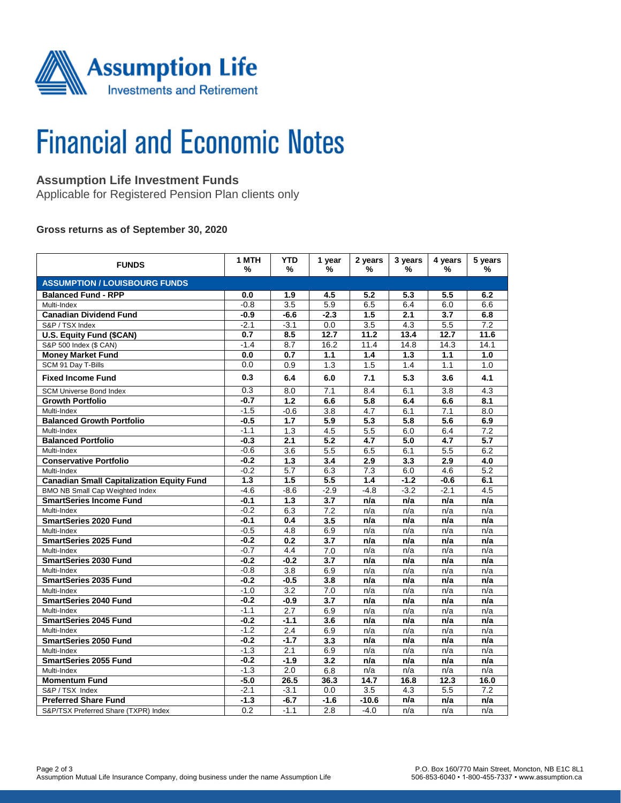

# **Financial and Economic Notes**

# **Assumption Life Investment Funds**

Applicable for Registered Pension Plan clients only

### **Gross returns as of September 30, 2020**

| <b>FUNDS</b>                                     | 1 MTH<br>% | <b>YTD</b><br>%  | 1 year<br>%      | 2 years<br>%     | 3 years<br>% | 4 years<br>% | 5 years<br>%     |  |  |  |  |
|--------------------------------------------------|------------|------------------|------------------|------------------|--------------|--------------|------------------|--|--|--|--|
| <b>ASSUMPTION / LOUISBOURG FUNDS</b>             |            |                  |                  |                  |              |              |                  |  |  |  |  |
| <b>Balanced Fund - RPP</b>                       | 0.0        | 1.9              | 4.5              | 5.2              | 5.3          | 5.5          | 6.2              |  |  |  |  |
| Multi-Index                                      | $-0.8$     | $\overline{3.5}$ | 5.9              | 6.5              | 6.4          | 6.0          | 6.6              |  |  |  |  |
| <b>Canadian Dividend Fund</b>                    | $-0.9$     | $-6.6$           | $-2.3$           | 1.5              | 2.1          | 3.7          | 6.8              |  |  |  |  |
| S&P / TSX Index                                  | $-2.1$     | $-3.1$           | 0.0              | $\overline{3.5}$ | 4.3          | 5.5          | $\overline{7.2}$ |  |  |  |  |
| U.S. Equity Fund (\$CAN)                         | 0.7        | 8.5              | 12.7             | 11.2             | 13.4         | 12.7         | 11.6             |  |  |  |  |
| S&P 500 Index (\$ CAN)                           | $-1.4$     | 8.7              | 16.2             | 11.4             | 14.8         | 14.3         | 14.1             |  |  |  |  |
| <b>Money Market Fund</b>                         | 0.0        | 0.7              | 1.1              | 1.4              | 1.3          | 1.1          | 1.0              |  |  |  |  |
| SCM 91 Day T-Bills                               | 0.0        | 0.9              | 1.3              | 1.5              | 1.4          | 1.1          | 1.0              |  |  |  |  |
| <b>Fixed Income Fund</b>                         | 0.3        | 6.4              | 6.0              | 7.1              | 5.3          | 3.6          | 4.1              |  |  |  |  |
| <b>SCM Universe Bond Index</b>                   | 0.3        | 8.0              | 7.1              | 8.4              | 6.1          | 3.8          | 4.3              |  |  |  |  |
| <b>Growth Portfolio</b>                          | $-0.7$     | 1.2              | 6.6              | 5.8              | 6.4          | 6.6          | 8.1              |  |  |  |  |
| Multi-Index                                      | $-1.5$     | $-0.6$           | 3.8              | 4.7              | 6.1          | 7.1          | 8.0              |  |  |  |  |
| <b>Balanced Growth Portfolio</b>                 | $-0.5$     | 1.7              | 5.9              | 5.3              | 5.8          | 5.6          | 6.9              |  |  |  |  |
| Multi-Index                                      | $-1.1$     | 1.3              | 4.5              | 5.5              | 6.0          | 6.4          | 7.2              |  |  |  |  |
| <b>Balanced Portfolio</b>                        | $-0.3$     | 2.1              | $\overline{5.2}$ | 4.7              | 5.0          | 4.7          | $\overline{5.7}$ |  |  |  |  |
| Multi-Index                                      | $-0.6$     | 3.6              | 5.5              | 6.5              | 6.1          | 5.5          | 6.2              |  |  |  |  |
| <b>Conservative Portfolio</b>                    | $-0.2$     | 1.3              | 3.4              | 2.9              | 3.3          | 2.9          | 4.0              |  |  |  |  |
| Multi-Index                                      | $-0.2$     | 5.7              | 6.3              | 7.3              | 6.0          | 4.6          | 5.2              |  |  |  |  |
| <b>Canadian Small Capitalization Equity Fund</b> | 1.3        | 1.5              | 5.5              | 1.4              | $-1.2$       | $-0.6$       | 6.1              |  |  |  |  |
| BMO NB Small Cap Weighted Index                  | $-4.6$     | $-8.6$           | $-2.9$           | $-4.8$           | $-3.2$       | $-2.1$       | 4.5              |  |  |  |  |
| <b>SmartSeries Income Fund</b>                   | -0.1       | 1.3              | 3.7              | n/a              | n/a          | n/a          | n/a              |  |  |  |  |
| Multi-Index                                      | $-0.2$     | 6.3              | 7.2              | n/a              | n/a          | n/a          | n/a              |  |  |  |  |
| <b>SmartSeries 2020 Fund</b>                     | $-0.1$     | 0.4              | 3.5              | n/a              | n/a          | n/a          | n/a              |  |  |  |  |
| Multi-Index                                      | $-0.5$     | 4.8              | 6.9              | n/a              | n/a          | n/a          | n/a              |  |  |  |  |
| <b>SmartSeries 2025 Fund</b>                     | $-0.2$     | 0.2              | 3.7              | n/a              | n/a          | n/a          | n/a              |  |  |  |  |
| Multi-Index                                      | $-0.7$     | 4.4              | 7.0              | n/a              | n/a          | n/a          | n/a              |  |  |  |  |
| <b>SmartSeries 2030 Fund</b>                     | $-0.2$     | $-0.2$           | 3.7              | n/a              | n/a          | n/a          | n/a              |  |  |  |  |
| Multi-Index                                      | $-0.8$     | 3.8              | 6.9              | n/a              | n/a          | n/a          | n/a              |  |  |  |  |
| <b>SmartSeries 2035 Fund</b>                     | $-0.2$     | $-0.5$           | 3.8              | n/a              | n/a          | n/a          | n/a              |  |  |  |  |
| Multi-Index                                      | $-1.0$     | 3.2              | 7.0              | n/a              | n/a          | n/a          | n/a              |  |  |  |  |
| <b>SmartSeries 2040 Fund</b>                     | $-0.2$     | $-0.9$           | 3.7              | n/a              | n/a          | n/a          | n/a              |  |  |  |  |
| Multi-Index                                      | $-1.1$     | 2.7              | 6.9              | n/a              | n/a          | n/a          | n/a              |  |  |  |  |
| <b>SmartSeries 2045 Fund</b>                     | $-0.2$     | $-1.1$           | 3.6              | n/a              | n/a          | n/a          | n/a              |  |  |  |  |
| Multi-Index                                      | $-1.2$     | 2.4              | 6.9              | n/a              | n/a          | n/a          | n/a              |  |  |  |  |
| <b>SmartSeries 2050 Fund</b>                     | $-0.2$     | $-1.7$           | 3.3              | n/a              | n/a          | n/a          | n/a              |  |  |  |  |
| Multi-Index                                      | $-1.3$     | 2.1              | 6.9              | n/a              | n/a          | n/a          | n/a              |  |  |  |  |
| <b>SmartSeries 2055 Fund</b>                     | $-0.2$     | $-1.9$           | 3.2              | n/a              | n/a          | n/a          | n/a              |  |  |  |  |
| Multi-Index                                      | $-1.3$     | $\overline{2.0}$ | 6.8              | n/a              | n/a          | n/a          | n/a              |  |  |  |  |
| <b>Momentum Fund</b>                             | $-5.0$     | 26.5             | 36.3             | 14.7             | 16.8         | 12.3         | 16.0             |  |  |  |  |
| S&P / TSX Index                                  | $-2.1$     | $-3.1$           | 0.0              | 3.5              | 4.3          | 5.5          | 7.2              |  |  |  |  |
| <b>Preferred Share Fund</b>                      | $-1.3$     | $-6.7$           | $-1.6$           | $-10.6$          | n/a          | n/a          | n/a              |  |  |  |  |
| S&P/TSX Preferred Share (TXPR) Index             | 0.2        | $-1.1$           | 2.8              | $-4.0$           | n/a          | n/a          | n/a              |  |  |  |  |